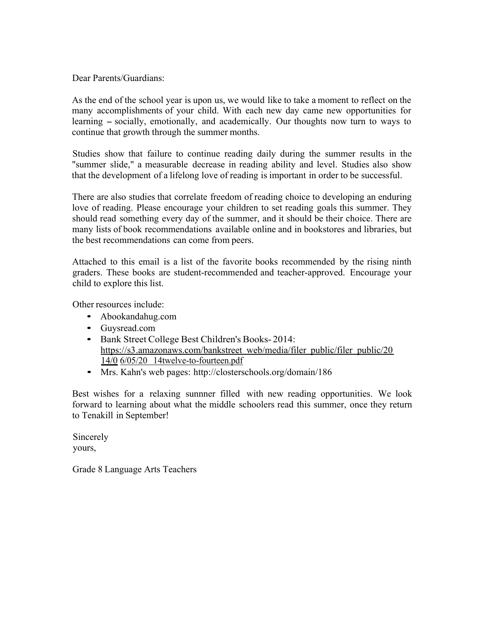Dear Parents/Guardians:

As the end of the school year is upon us, we would like to take a moment to reflect on the many accomplishments of your child. With each new day came new opportunities for learning – socially, emotionally, and academically. Our thoughts now turn to ways to continue that growth through the summer months.

Studies show that failure to continue reading daily during the summer results in the "summer slide," a measurable decrease in reading ability and level. Studies also show that the development of a lifelong love of reading is important in order to be successful.

There are also studies that correlate freedom of reading choice to developing an enduring love of reading. Please encourage your children to set reading goals this summer. They should read something every day of the summer, and it should be their choice. There are many lists of book recommendations available online and in bookstores and libraries, but the best recommendations can come from peers.

Attached to this email is a list of the favorite books recommended by the rising ninth graders. These books are student-recommended and teacher-approved. Encourage your child to explore this list.

Other resources include:

- Abookandahug.com
- Guysread.com
- Bank Street College Best Children's Books- 2014: https://s3.amazonaws.com/bankstreet web/media/filer public/filer public/20 14/0 6/05/20 14twelve-to-fourteen.pdf
- Mrs. Kahn's web pages: http://closterschools.org/domain/186

Best wishes for a relaxing sunnner filled with new reading opportunities. We look forward to learning about what the middle schoolers read this summer, once they return to Tenakill in September!

Sincerely yours,

Grade 8 Language Arts Teachers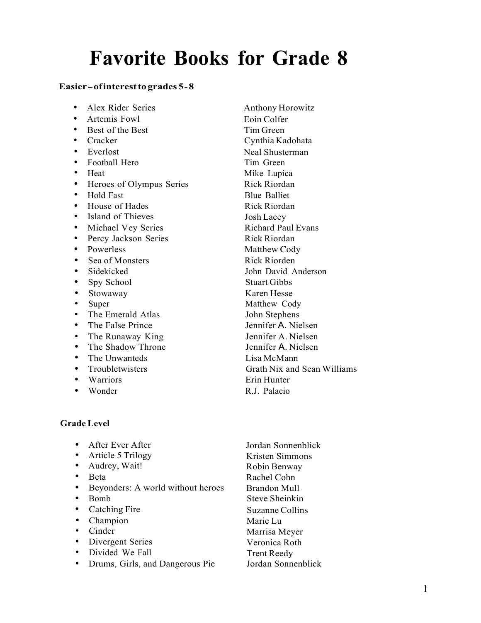## **Favorite Books for Grade 8**

## **Easier-ofinteresttogrades 5-8**

- Alex Rider Series Anthony Horowitz
- Artemis Fowl Eoin Colfer
- Best of the Best Tim Green
- 
- 
- Football Hero Tim Green
- 
- Heroes of Olympus Series Rick Riordan<br>• Hold East Rhue Balliet
- 
- House of Hades Rick Riordan
- Island of Thieves Josh Lacey
- Michael Vey Series Richard Paul Evans
- Percy Jackson Series Rick Riordan
- 
- **Sea of Monsters Rick Riorden**
- 
- Spy School Stuart Gibbs
- 
- 
- 
- 
- The Runaway King Jennifer A. Nielsen
- The Shadow Throne Jennifer A. Nielsen
- The Unwanteds Lisa McMann
- 
- 
- 

**Grade Level**

• After Ever After • Article 5 Trilogy • Audrey, Wait! • Beta<br>• Beyc Beyonders: A world without heroes • Bomb • Catching Fire • Champion • Cinder • Divergent Series • Divided We Fall • Drums, Girls, and Dangerous Pie Jordan Sonnenblick Kristen Simmons Robin Benway Rachel Cohn Brandon Mull Steve Sheinkin Suzanne Collins Marie Lu Marrisa Meyer Veronica Roth Trent Reedy Jordan Sonnenblick

• Cracker Cynthia Kadohata • Everlost Neal Shusterman • Heat Mike Lupica **Fold Fast** Blue Balliet • Powerless Matthew Cody • Sidekicked John David Anderson • Stowaway Karen Hesse<br>• Suner Matthew Co Super Matthew Cody • The Emerald Atlas John Stephens<br>
• The False Prince Jennifer A Nie The False Prince **In the False Prince** Jennifer A. Nielsen • Troubletwisters Grath Nix and Sean Williams<br>
• Warriors Erin Hunter • Warriors Erin Hunter • Wonder R.J. Palacio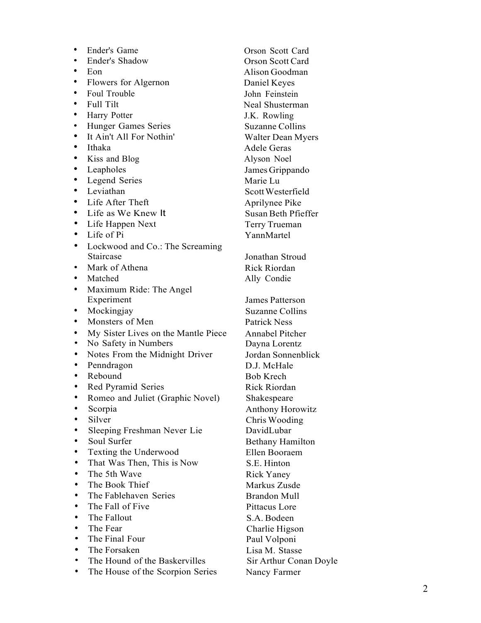• Ender's Game Orson Scott Card • Ender's Shadow Orson Scott Card • Eon Alison Goodman • Flowers for Algernon Daniel Keyes • Foul Trouble John Feinstein • Full Tilt Neal Shusterman • Harry Potter J.K. Rowling • Hunger Games Series<br>
• It Ain't All For Nothin' Walter Dean Myers<br>
• Ithaka Adele Geras<br>
• Kiss and Blog Alyson Noel<br>
• Leapholes James Grippando<br>
• Legend Series Marie Lu<br>
• Life After Theft Aprilynee Pike<br>
• Life as We • Lockwood and Co.: The Screaming Staircase Jonathan Stroud • Mark of Athena Rick Riordan • Matched Ally Condie • Maximum Ride: The Angel Experiment James Patterson • Mockingjay Suzanne Collins • Monsters of Men Patrick Ness • My Sister Lives on the Mantle Piece Annabel Pitcher<br>• No Safety in Numbers Dayna Lorentz • Notes From the Midnight Driver Jordan Sonnenblick • Penndragon D.J. McHale • Rebound Bob Krech • Red Pyramid Series Rick Riordan • Romeo and Juliet (Graphic Novel) Shakespeare • Scorpia **Anthony Horowitz** • Silver Chris Wooding • Sleeping Freshman Never Lie DavidLubar • Soul Surfer Bethany Hamilton • Texting the Underwood Ellen Booraem • That Was Then, This is Now S.E. Hinton • The 5th Wave Rick Yaney The Book Thief Markus Zusde • The Fablehaven Series Brandon Mull • The Fall of Five Pittacus Lore • The Fallout S.A. Bodeen The Fear Charlie Higson<br>
The Final Four Paul Volponi • The Forsaken Lisa M. Stasse<br>• The Hound of the Baskervilles Sir Arthur Conan Doyle

• The House of the Scorpion Series Nancy Farmer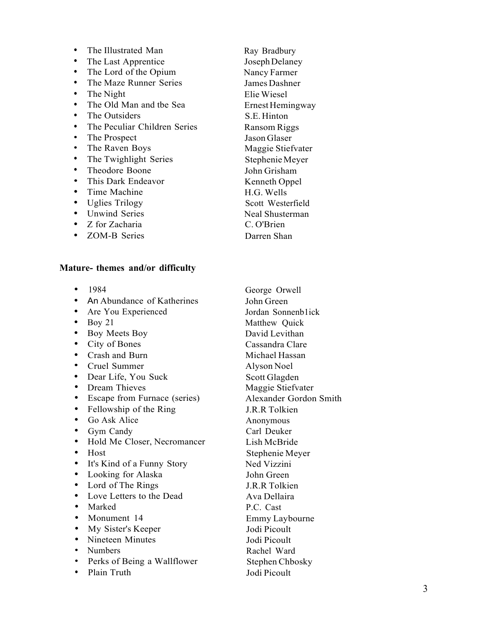• The Illustrated Man Ray Bradbury • The Last Apprentice Joseph Delaney • The Lord of the Opium Nancy Farmer • The Maze Runner Series James Dashner • The Night Elie Wiesel • The Old Man and the Sea Ernest Hemingway • The Outsiders S.E. Hinton • The Peculiar Children Series Ransom Riggs • The Prospect Jason Glaser

- The Twighlight Series Stephenie Meyer
- Theodore Boone John Grisham
- This Dark Endeavor Kenneth Oppel
- Time Machine H.G. Wells
- 
- Unwind Series Neal Shusterman
- Z for Zacharia C. O'Brien
- ZOM-B Series Darren Shan

## **Mature- themes and/or difficulty**

- 
- An Abundance of Katherines John Green
- 
- 
- Boy Meets Boy David Levithan
- 
- Crash and Burn Michael Hassan
- Cruel Summer Alyson Noel
- Dear Life, You Suck Scott Glagden
- 
- Escape from Furnace (series) Alexander Gordon Smith
- Fellowship of the Ring J.R.R Tolkien
- Go Ask Alice Anonymous
- 
- Hold Me Closer, Necromancer Lish McBride
- 
- It's Kind of a Funny Story Ned Vizzini
- Looking for Alaska John Green
- Lord of The Rings J.R.R Tolkien
- Love Letters to the Dead Ava Dellaira
- Marked P.C. Cast
- 
- My Sister's Keeper Jodi Picoult
- Nineteen Minutes Jodi Picoult
- 
- Perks of Being a Wallflower Stephen Chbosky
- Plain Truth Jodi Picoult

• The Raven Boys Maggie Stiefvater • Uglies Trilogy Scott Westerfield

• 1984 George Orwell • Are You Experienced Jordan Sonnenb1ick<br>• Bov 21 Matthew Quick Matthew Ouick • City of Bones Cassandra Clare • Dream Thieves Maggie Stiefvater • Gym Candy Carl Deuker • Host Stephenie Meyer • Monument 14 Emmy Laybourne • Numbers Rachel Ward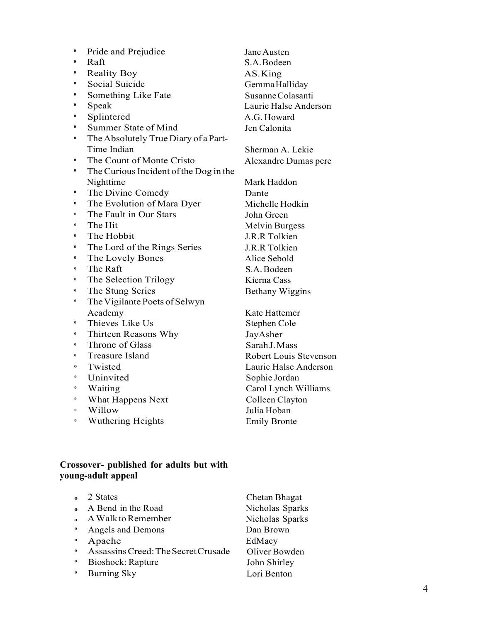| $\boldsymbol{0}$ | Pride and Prejudice                    | Jane Austen                   |
|------------------|----------------------------------------|-------------------------------|
| $\boldsymbol{0}$ | Raft                                   | S.A. Bodeen                   |
| 0                | <b>Reality Boy</b>                     | AS.King                       |
| $\boldsymbol{0}$ | Social Suicide                         | Gemma Halliday                |
| $\boldsymbol{0}$ | Something Like Fate                    | Susanne Colasanti             |
| 0                | Speak                                  | Laurie Halse Anderson         |
| $\boldsymbol{0}$ | Splintered                             | A.G. Howard                   |
| $\pmb{0}$        | Summer State of Mind                   | Jen Calonita                  |
| $\pmb{0}$        | The Absolutely True Diary of a Part-   |                               |
|                  | Time Indian                            | Sherman A. Lekie              |
| $\boldsymbol{0}$ | The Count of Monte Cristo              | Alexandre Dumas pere          |
| $\pmb{0}$        | The Curious Incident of the Dog in the |                               |
|                  | Nighttime                              | Mark Haddon                   |
| $\boldsymbol{0}$ | The Divine Comedy                      | Dante                         |
| $\boldsymbol{0}$ | The Evolution of Mara Dyer             | Michelle Hodkin               |
| $\pmb{0}$        | The Fault in Our Stars                 | John Green                    |
| $\bf{0}$         | The Hit                                | <b>Melvin Burgess</b>         |
| 0                | The Hobbit                             | J.R.R Tolkien                 |
| 0                | The Lord of the Rings Series           | J.R.R Tolkien                 |
| $\boldsymbol{0}$ | The Lovely Bones                       | Alice Sebold                  |
| $\pmb{0}$        | The Raft                               | S.A. Bodeen                   |
| $\boldsymbol{0}$ | The Selection Trilogy                  | Kierna Cass                   |
| $\boldsymbol{0}$ | The Stung Series                       | <b>Bethany Wiggins</b>        |
| $\pmb{0}$        | The Vigilante Poets of Selwyn          |                               |
|                  | Academy                                | Kate Hattemer                 |
| $\pmb{0}$        | Thieves Like Us                        | Stephen Cole                  |
| $\pmb{0}$        | Thirteen Reasons Why                   | JayAsher                      |
| $\boldsymbol{0}$ | Throne of Glass                        | Sarah J. Mass                 |
| 0                | <b>Treasure Island</b>                 | <b>Robert Louis Stevenson</b> |
| 0                | Twisted                                | Laurie Halse Anderson         |
| $\pmb{0}$        | Uninvited                              | Sophie Jordan                 |
| $\pmb{0}$        | Waiting                                | Carol Lynch Williams          |
| $\pmb{0}$        | What Happens Next                      | Colleen Clayton               |
| $\boldsymbol{0}$ | Willow                                 | Julia Hoban                   |
| $\bf{0}$         | <b>Wuthering Heights</b>               | <b>Emily Bronte</b>           |

## **Crossover- published for adults but with young-adult appeal**

| $\mathbf{o}$       | 2 States                            | Chetan Bhagat   |
|--------------------|-------------------------------------|-----------------|
| $\mathbf{o}$       | A Bend in the Road                  | Nicholas Sparks |
| $\mathbf{a}$       | A Walk to Remember                  | Nicholas Sparks |
| $\mathbf{0}$       | Angels and Demons                   | Dan Brown       |
| $\pmb{\mathsf{o}}$ | Apache                              | EdMacy          |
| $\bf{0}$           | Assassins Creed: The Secret Crusade | Oliver Bowden   |
| $\mathbf 0$        | Bioshock: Rapture                   | John Shirley    |
| $\bf{0}$           | <b>Burning Sky</b>                  | Lori Benton     |
|                    |                                     |                 |